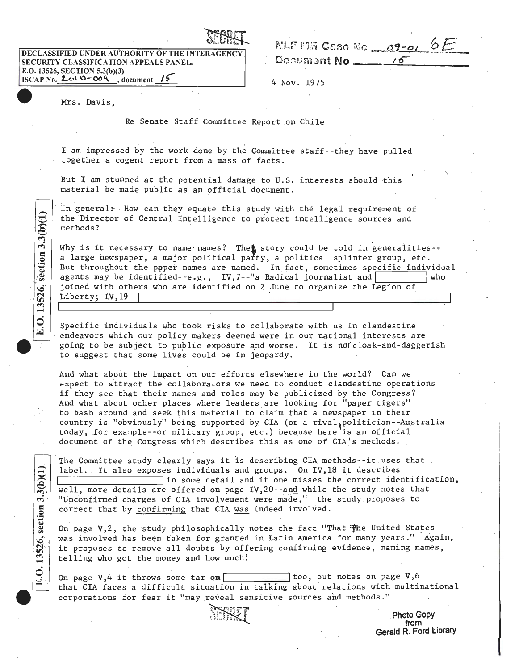| . દક્ષિ<br>LX.<br>uluit |  |
|-------------------------|--|
|-------------------------|--|

SECURITY CLASSIFICATION APPEALS PANEL.<br>E.O. 13526, SECTION 5.3(b)(3)  $ISCAP No. 2010-009$ , document  $15$  4 Nov. 1975

| <b>ULUIRA</b>                                   | NLF MR Case No<br>$09 - 01$ |
|-------------------------------------------------|-----------------------------|
| DECLASSIFIED UNDER AUTHORITY OF THE INTERAGENCY |                             |
| SECURITY CLASSIFICATION APPEALS PANEL.          | Document No                 |

 $\overline{\phantom{a}}$ 

Mrs. Davis,

E.O. 13526, section 3.3(b)(1)

E.O. 13526, section  $3.3(b)(1)$ 

Re Senate Staff Committee Report on Chile

I am impressed by the work done. by the Committee staff--they have pulled together a cogent report from *a* mass of facts.

But I am stunned at the potential damage to U.S. interests should this material be made public as an official document.

In general: How can they equate this study with the legal requirement of the Director of Central Intelligence to protect intelligence sources and methods?

Why is it necessary to name names? The is story could be told in generalities-*a* large newspaper, *a* major political party, *a* political splinter group, etc. But throughout the paper names are named. In fact, sometimes specific individual agents may be identified-  $-e.g.,$  IV,  $7$ --"a Radical journalist and  $\boxed{\phantom{a}$  who joined with others who are identified on 2 June to organize the Legion of Liberty; IV, 19--l

Specific individuals who took risks to collaborate with us in clandestine endeavors which our policy makers deemed were in our national interests are going to be subject to public exposure and worse. It is noTcloak-and-daggerish to suggest that some lives could be in jeopardy.

And what about the impact on our efforts elsewhere in the world? Can we expect to attract the collaborators we need to conduct clandestine operations if they see that their names and roles may be publicized by the Congress? And what about other places where leaders are looking for "paper tigers" to bash around and seek this material to claim that *a* newspaper in their country is "obviously" being supported by CIA (or a rival, politician--Australia today, for example--or military group, etc.) because here is an official document of the Congress which describes this as one of CIA's methods.

The Committee study clearly says it is describing CIA methods--it uses that label. It also exposes individuals and groups. On IV, 18 it describes<br>in some detail and if one misses the correct identification, well, more details are offered on page IV,20--and while the study notes that "Unconfirmed charges of CIA involvement were made," the study proposes to correct that by confirming that CIA was indeed involved.

On page V,2, the study philosophically notes the fact "That 'fhe United States was involved has been taken for granted in Latin America for many years." Again, it proposes to remove all doubts by offering confirming evidence, naming names, telling who got the money and how much!

On page V,4 it throws some tar on  $\Box$  too, but notes on page V,6 that CIA faces a difficult situation in talking about relations with multinational corporations for fear it "may reveal sensitive sources and methods."

.Photo Gopy from Gerald R. Ford Library